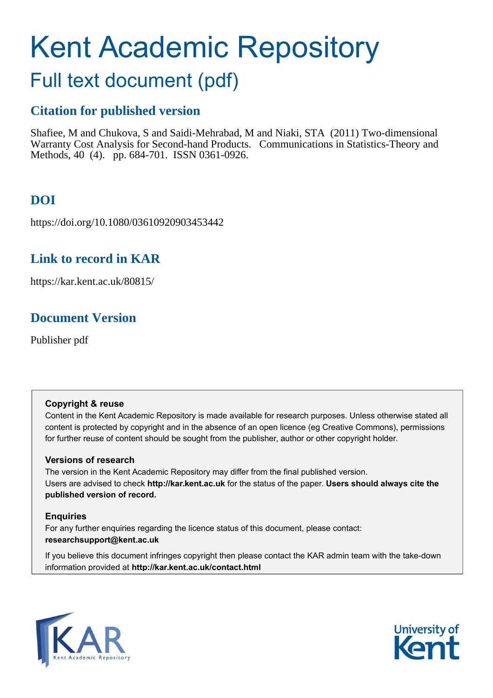# Kent Academic Repository

## Full text document (pdf)

### **Citation for published version**

Shafiee, M and Chukova, S and Saidi-Mehrabad, M and Niaki, STA (2011) Two-dimensional Warranty Cost Analysis for Second-hand Products. Communications in Statistics-Theory and Methods, 40 (4). pp. 684-701. ISSN 0361-0926.

### **DOI**

https://doi.org/10.1080/03610920903453442

### **Link to record in KAR**

https://kar.kent.ac.uk/80815/

### **Document Version**

Publisher pdf

#### **Copyright & reuse**

Content in the Kent Academic Repository is made available for research purposes. Unless otherwise stated all content is protected by copyright and in the absence of an open licence (eg Creative Commons), permissions for further reuse of content should be sought from the publisher, author or other copyright holder.

#### **Versions of research**

The version in the Kent Academic Repository may differ from the final published version. Users are advised to check **http://kar.kent.ac.uk** for the status of the paper. **Users should always cite the published version of record.**

#### **Enquiries**

For any further enquiries regarding the licence status of this document, please contact: **researchsupport@kent.ac.uk**

If you believe this document infringes copyright then please contact the KAR admin team with the take-down information provided at **http://kar.kent.ac.uk/contact.html**



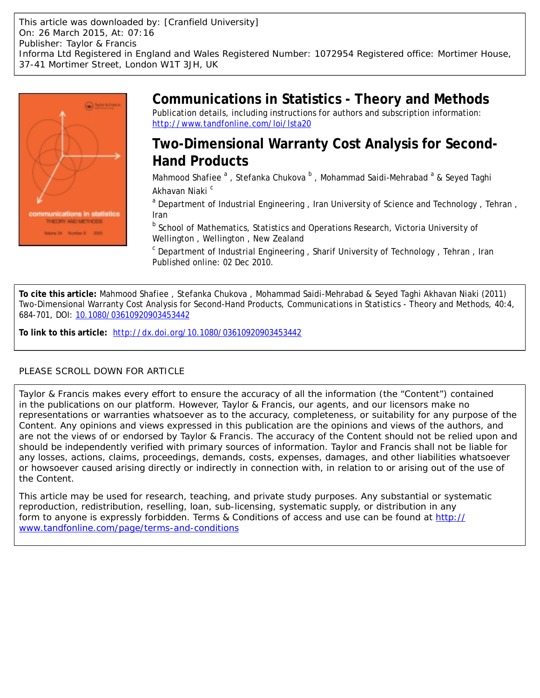This article was downloaded by: [Cranfield University] On: 26 March 2015, At: 07:16 Publisher: Taylor & Francis Informa Ltd Registered in England and Wales Registered Number: 1072954 Registered office: Mortimer House, 37-41 Mortimer Street, London W1T 3JH, UK



### **Communications in Statistics - Theory and Methods**

Publication details, including instructions for authors and subscription information: <http://www.tandfonline.com/loi/lsta20>

### **Two-Dimensional Warranty Cost Analysis for Second-Hand Products**

Mahmood Shafiee <sup>a</sup>, Stefanka Chukova <sup>b</sup>, Mohammad Saidi-Mehrabad <sup>a</sup> & Seyed Taghi Akhavan Niaki<sup>c</sup>

<sup>a</sup> Department of Industrial Engineering, Iran University of Science and Technology, Tehran, Iran

**b** School of Mathematics, Statistics and Operations Research, Victoria University of Wellington , Wellington , New Zealand

<sup>c</sup> Department of Industrial Engineering, Sharif University of Technology, Tehran, Iran Published online: 02 Dec 2010.

**To cite this article:** Mahmood Shafiee , Stefanka Chukova , Mohammad Saidi-Mehrabad & Seyed Taghi Akhavan Niaki (2011) Two-Dimensional Warranty Cost Analysis for Second-Hand Products, Communications in Statistics - Theory and Methods, 40:4, 684-701, DOI: [10.1080/03610920903453442](http://www.tandfonline.com/action/showCitFormats?doi=10.1080/03610920903453442)

**To link to this article:** <http://dx.doi.org/10.1080/03610920903453442>

#### PLEASE SCROLL DOWN FOR ARTICLE

Taylor & Francis makes every effort to ensure the accuracy of all the information (the "Content") contained in the publications on our platform. However, Taylor & Francis, our agents, and our licensors make no representations or warranties whatsoever as to the accuracy, completeness, or suitability for any purpose of the Content. Any opinions and views expressed in this publication are the opinions and views of the authors, and are not the views of or endorsed by Taylor & Francis. The accuracy of the Content should not be relied upon and should be independently verified with primary sources of information. Taylor and Francis shall not be liable for any losses, actions, claims, proceedings, demands, costs, expenses, damages, and other liabilities whatsoever or howsoever caused arising directly or indirectly in connection with, in relation to or arising out of the use of the Content.

This article may be used for research, teaching, and private study purposes. Any substantial or systematic reproduction, redistribution, reselling, loan, sub-licensing, systematic supply, or distribution in any form to anyone is expressly forbidden. Terms & Conditions of access and use can be found at [http://](http://www.tandfonline.com/page/terms-and-conditions) [www.tandfonline.com/page/terms-and-conditions](http://www.tandfonline.com/page/terms-and-conditions)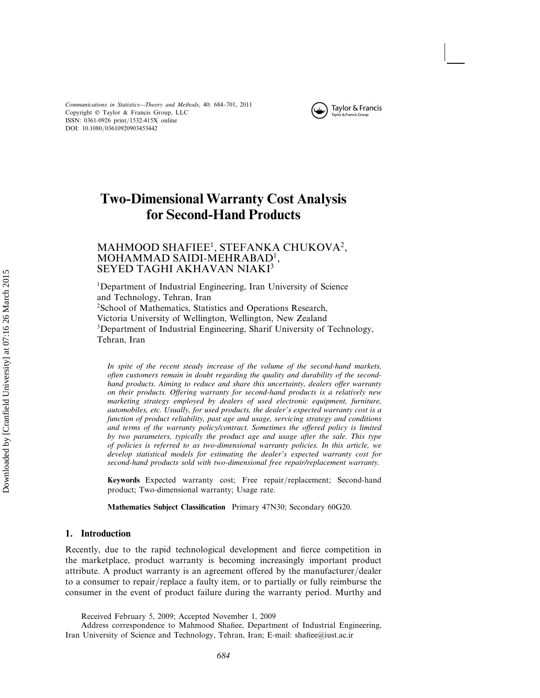

### **Two-Dimensional Warranty Cost Analysis for Second-Hand Products**

#### MAHMOOD SHAFIEE<sup>1</sup>, STEFANKA CHUKOVA<sup>2</sup>, MOHAMMAD SAIDI-MEHRABAD<sup>1</sup> SEYED TAGHI AKHAVAN NIAKI3

1Department of Industrial Engineering, Iran University of Science and Technology, Tehran, Iran 2School of Mathematics, Statistics and Operations Research, Victoria University of Wellington, Wellington, New Zealand 3Department of Industrial Engineering, Sharif University of Technology, Tehran, Iran

*In spite of the recent steady increase of the volume of the second-hand markets, often customers remain in doubt regarding the quality and durability of the secondhand products. Aiming to reduce and share this uncertainty, dealers offer warranty on their products. Offering warranty for second-hand products is a relatively new marketing strategy employed by dealers of used electronic equipment, furniture, automobiles, etc. Usually, for used products, the dealer's expected warranty cost is a function of product reliability, past age and usage, servicing strategy and conditions and terms of the warranty policy/contract. Sometimes the offered policy is limited by two parameters, typically the product age and usage after the sale. This type of policies is referred to as two-dimensional warranty policies. In this article, we develop statistical models for estimating the dealer's expected warranty cost for second-hand products sold with two-dimensional free repair/replacement warranty.*

**Keywords** Expected warranty cost; Free repair/replacement; Second-hand product; Two-dimensional warranty; Usage rate.

**Mathematics Subject Classification** Primary 47N30; Secondary 60G20.

#### **1. Introduction**

Recently, due to the rapid technological development and fierce competition in the marketplace, product warranty is becoming increasingly important product attribute. A product warranty is an agreement offered by the manufacturer/dealer to a consumer to repair/replace a faulty item, or to partially or fully reimburse the consumer in the event of product failure during the warranty period. Murthy and

Received February 5, 2009; Accepted November 1, 2009

Address correspondence to Mahmood Shafiee, Department of Industrial Engineering, Iran University of Science and Technology, Tehran, Iran; E-mail: shafiee@iust.ac.ir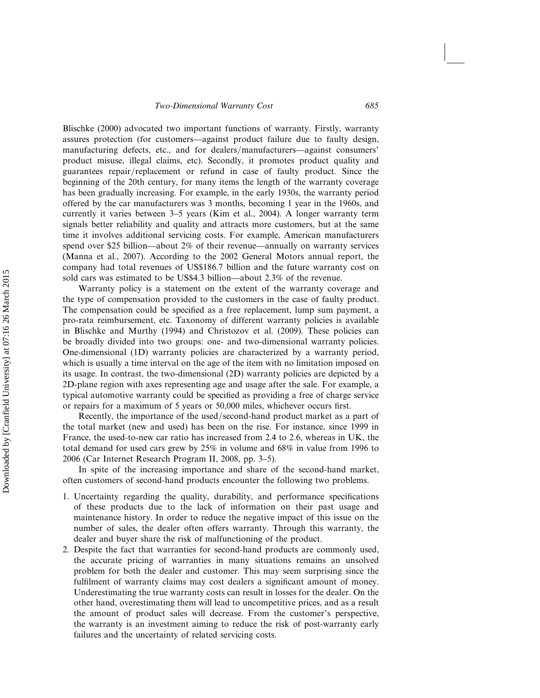Blischke (2000) advocated two important functions of warranty. Firstly, warranty assures protection (for customers—against product failure due to faulty design, manufacturing defects, etc., and for dealers/manufacturers—against consumers' product misuse, illegal claims, etc). Secondly, it promotes product quality and guarantees repair/replacement or refund in case of faulty product. Since the beginning of the 20th century, for many items the length of the warranty coverage has been gradually increasing. For example, in the early 1930s, the warranty period offered by the car manufacturers was 3 months, becoming 1 year in the 1960s, and currently it varies between 3–5 years (Kim et al., 2004). A longer warranty term signals better reliability and quality and attracts more customers, but at the same time it involves additional servicing costs. For example, American manufacturers spend over \$25 billion—about 2% of their revenue—annually on warranty services (Manna et al., 2007). According to the 2002 General Motors annual report, the company had total revenues of US\$186.7 billion and the future warranty cost on sold cars was estimated to be US\$4.3 billion—about 2.3% of the revenue.

Warranty policy is a statement on the extent of the warranty coverage and the type of compensation provided to the customers in the case of faulty product. The compensation could be specified as a free replacement, lump sum payment, a pro-rata reimbursement, etc. Taxonomy of different warranty policies is available in Blischke and Murthy (1994) and Christozov et al. (2009). These policies can be broadly divided into two groups: one- and two-dimensional warranty policies. One-dimensional (1D) warranty policies are characterized by a warranty period, which is usually a time interval on the age of the item with no limitation imposed on its usage. In contrast, the two-dimensional (2D) warranty policies are depicted by a 2D-plane region with axes representing age and usage after the sale. For example, a typical automotive warranty could be specified as providing a free of charge service or repairs for a maximum of 5 years or 50,000 miles, whichever occurs first.

Recently, the importance of the used/second-hand product market as a part of the total market (new and used) has been on the rise. For instance, since 1999 in France, the used-to-new car ratio has increased from 2.4 to 2.6, whereas in UK, the total demand for used cars grew by 25% in volume and 68% in value from 1996 to 2006 (Car Internet Research Program II, 2008, pp. 3–5).

In spite of the increasing importance and share of the second-hand market, often customers of second-hand products encounter the following two problems.

- 1. Uncertainty regarding the quality, durability, and performance specifications of these products due to the lack of information on their past usage and maintenance history. In order to reduce the negative impact of this issue on the number of sales, the dealer often offers warranty. Through this warranty, the dealer and buyer share the risk of malfunctioning of the product.
- 2. Despite the fact that warranties for second-hand products are commonly used, the accurate pricing of warranties in many situations remains an unsolved problem for both the dealer and customer. This may seem surprising since the fulfilment of warranty claims may cost dealers a significant amount of money. Underestimating the true warranty costs can result in losses for the dealer. On the other hand, overestimating them will lead to uncompetitive prices, and as a result the amount of product sales will decrease. From the customer's perspective, the warranty is an investment aiming to reduce the risk of post-warranty early failures and the uncertainty of related servicing costs.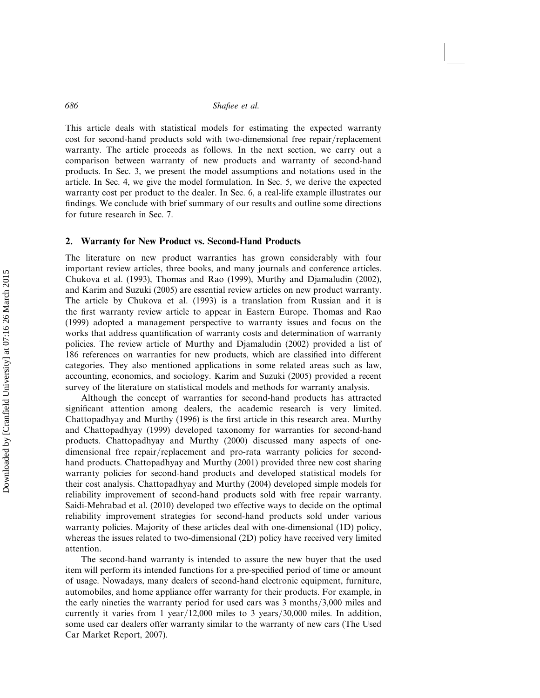This article deals with statistical models for estimating the expected warranty cost for second-hand products sold with two-dimensional free repair/replacement warranty. The article proceeds as follows. In the next section, we carry out a comparison between warranty of new products and warranty of second-hand products. In Sec. 3, we present the model assumptions and notations used in the article. In Sec. 4, we give the model formulation. In Sec. 5, we derive the expected warranty cost per product to the dealer. In Sec. 6, a real-life example illustrates our findings. We conclude with brief summary of our results and outline some directions for future research in Sec. 7.

#### **2. Warranty for New Product vs. Second-Hand Products**

The literature on new product warranties has grown considerably with four important review articles, three books, and many journals and conference articles. Chukova et al. (1993), Thomas and Rao (1999), Murthy and Djamaludin (2002), and Karim and Suzuki (2005) are essential review articles on new product warranty. The article by Chukova et al. (1993) is a translation from Russian and it is the first warranty review article to appear in Eastern Europe. Thomas and Rao (1999) adopted a management perspective to warranty issues and focus on the works that address quantification of warranty costs and determination of warranty policies. The review article of Murthy and Djamaludin (2002) provided a list of 186 references on warranties for new products, which are classified into different categories. They also mentioned applications in some related areas such as law, accounting, economics, and sociology. Karim and Suzuki (2005) provided a recent survey of the literature on statistical models and methods for warranty analysis.

Although the concept of warranties for second-hand products has attracted significant attention among dealers, the academic research is very limited. Chattopadhyay and Murthy (1996) is the first article in this research area. Murthy and Chattopadhyay (1999) developed taxonomy for warranties for second-hand products. Chattopadhyay and Murthy (2000) discussed many aspects of onedimensional free repair/replacement and pro-rata warranty policies for secondhand products. Chattopadhyay and Murthy (2001) provided three new cost sharing warranty policies for second-hand products and developed statistical models for their cost analysis. Chattopadhyay and Murthy (2004) developed simple models for reliability improvement of second-hand products sold with free repair warranty. Saidi-Mehrabad et al. (2010) developed two effective ways to decide on the optimal reliability improvement strategies for second-hand products sold under various warranty policies. Majority of these articles deal with one-dimensional (1D) policy, whereas the issues related to two-dimensional (2D) policy have received very limited attention.

The second-hand warranty is intended to assure the new buyer that the used item will perform its intended functions for a pre-specified period of time or amount of usage. Nowadays, many dealers of second-hand electronic equipment, furniture, automobiles, and home appliance offer warranty for their products. For example, in the early nineties the warranty period for used cars was 3 months/3,000 miles and currently it varies from 1 year/12,000 miles to 3 years/30,000 miles. In addition, some used car dealers offer warranty similar to the warranty of new cars (The Used Car Market Report, 2007).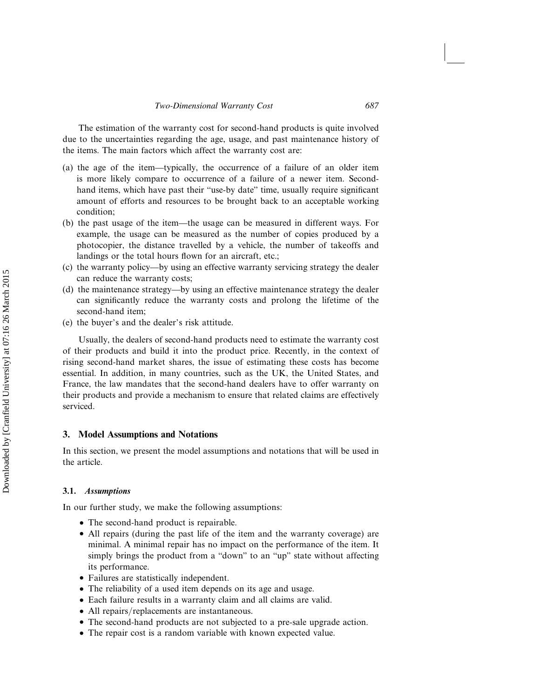The estimation of the warranty cost for second-hand products is quite involved due to the uncertainties regarding the age, usage, and past maintenance history of the items. The main factors which affect the warranty cost are:

- (a) the age of the item—typically, the occurrence of a failure of an older item is more likely compare to occurrence of a failure of a newer item. Secondhand items, which have past their "use-by date" time, usually require significant amount of efforts and resources to be brought back to an acceptable working condition;
- (b) the past usage of the item—the usage can be measured in different ways. For example, the usage can be measured as the number of copies produced by a photocopier, the distance travelled by a vehicle, the number of takeoffs and landings or the total hours flown for an aircraft, etc.;
- (c) the warranty policy—by using an effective warranty servicing strategy the dealer can reduce the warranty costs;
- (d) the maintenance strategy—by using an effective maintenance strategy the dealer can significantly reduce the warranty costs and prolong the lifetime of the second-hand item;
- (e) the buyer's and the dealer's risk attitude.

Usually, the dealers of second-hand products need to estimate the warranty cost of their products and build it into the product price. Recently, in the context of rising second-hand market shares, the issue of estimating these costs has become essential. In addition, in many countries, such as the UK, the United States, and France, the law mandates that the second-hand dealers have to offer warranty on their products and provide a mechanism to ensure that related claims are effectively serviced.

#### **3. Model Assumptions and Notations**

In this section, we present the model assumptions and notations that will be used in the article.

#### **3.1.** *Assumptions*

In our further study, we make the following assumptions:

- The second-hand product is repairable.
- All repairs (during the past life of the item and the warranty coverage) are minimal. A minimal repair has no impact on the performance of the item. It simply brings the product from a "down" to an "up" state without affecting its performance.
- Failures are statistically independent.
- The reliability of a used item depends on its age and usage.
- Each failure results in a warranty claim and all claims are valid.
- All repairs/replacements are instantaneous.
- The second-hand products are not subjected to a pre-sale upgrade action.
- The repair cost is a random variable with known expected value.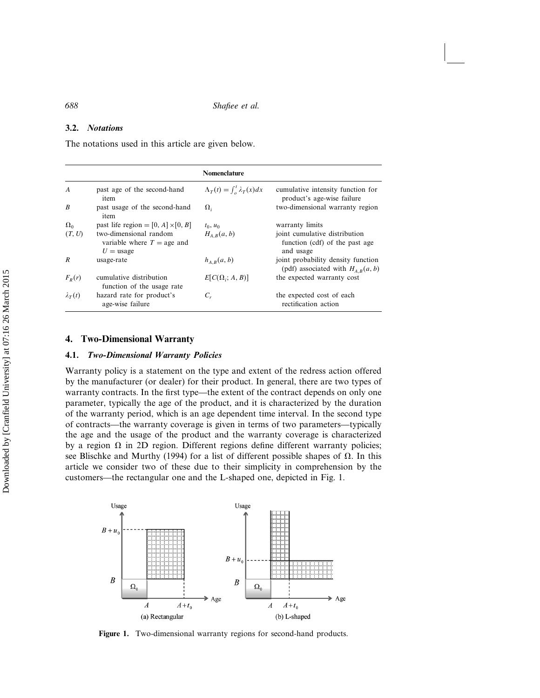#### **3.2.** *Notations*

The notations used in this article are given below.

|                  |                                                                       | <b>Nomenclature</b>                       |                                                                              |
|------------------|-----------------------------------------------------------------------|-------------------------------------------|------------------------------------------------------------------------------|
| $\overline{A}$   | past age of the second-hand<br>item                                   | $\Lambda_T(t) = \int_a^t \lambda_T(x) dx$ | cumulative intensity function for<br>product's age-wise failure              |
| $\boldsymbol{B}$ | past usage of the second-hand<br>item                                 | $\Omega_i$                                | two-dimensional warranty region                                              |
| $\Omega_0$       | past life region = $[0, A] \times [0, B]$                             | $t_0, u_0$                                | warranty limits                                                              |
| (T, U)           | two-dimensional random<br>variable where $T =$ age and<br>$U =$ usage | $H_{A,B}(a, b)$                           | joint cumulative distribution<br>function (cdf) of the past age<br>and usage |
| R                | usage-rate                                                            | $h_{AB}(a, b)$                            | joint probability density function<br>(pdf) associated with $H_{A,B}(a, b)$  |
| $F_R(r)$         | cumulative distribution<br>function of the usage rate                 | $E[C(\Omega_i; A, B)]$                    | the expected warranty cost                                                   |
| $\lambda_T(t)$   | hazard rate for product's<br>age-wise failure                         | C.                                        | the expected cost of each<br>rectification action                            |

#### **4. Two-Dimensional Warranty**

#### **4.1.** *Two-Dimensional Warranty Policies*

Warranty policy is a statement on the type and extent of the redress action offered by the manufacturer (or dealer) for their product. In general, there are two types of warranty contracts. In the first type—the extent of the contract depends on only one parameter, typically the age of the product, and it is characterized by the duration of the warranty period, which is an age dependent time interval. In the second type of contracts—the warranty coverage is given in terms of two parameters—typically the age and the usage of the product and the warranty coverage is characterized by a region  $\Omega$  in 2D region. Different regions define different warranty policies; see Blischke and Murthy (1994) for a list of different possible shapes of  $\Omega$ . In this article we consider two of these due to their simplicity in comprehension by the customers—the rectangular one and the L-shaped one, depicted in Fig. 1.



**Figure 1.** Two-dimensional warranty regions for second-hand products.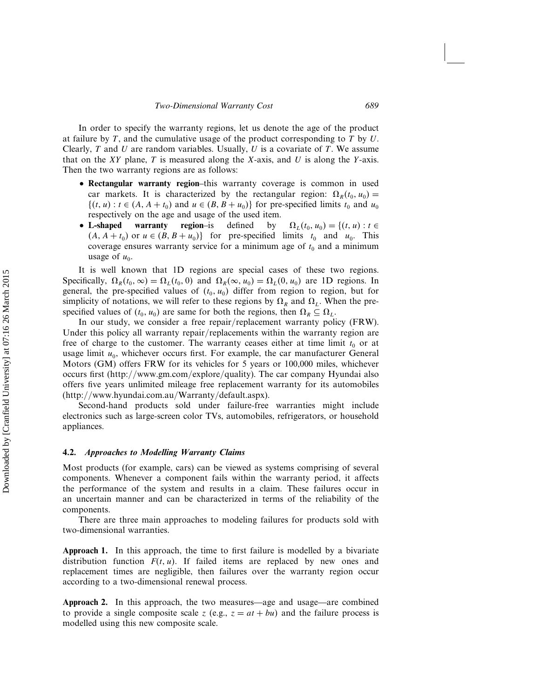In order to specify the warranty regions, let us denote the age of the product at failure by  $T$ , and the cumulative usage of the product corresponding to  $T$  by  $U$ . Clearly,  $T$  and  $U$  are random variables. Usually,  $U$  is a covariate of  $T$ . We assume that on the XY plane,  $T$  is measured along the X-axis, and  $U$  is along the Y-axis. Then the two warranty regions are as follows:

- **Rectangular warranty region**–this warranty coverage is common in used car markets. It is characterized by the rectangular region:  $\Omega_R(t_0, u_0) =$  $\{(t, u) : t \in (A, A + t_0) \text{ and } u \in (B, B + u_0)\}\$ for pre-specified limits  $t_0$  and  $u_0$ respectively on the age and usage of the used item.
- **L-shaped warranty region–is** defined by  $(t_0, u_0) = \{(t, u) : t \in$  $(A, A + t_0)$  or  $u \in (B, B + u_0)$  for pre-specified limits  $t_0$  and  $u_0$ . This coverage ensures warranty service for a minimum age of  $t_0$  and a minimum usage of  $u_0$ .

It is well known that 1D regions are special cases of these two regions. Specifically,  $\Omega_R(t_0, \infty) = \Omega_L(t_0, 0)$  and  $\Omega_R(\infty, u_0) = \Omega_L(0, u_0)$  are 1D regions. In general, the pre-specified values of  $(t_0, u_0)$  differ from region to region, but for simplicity of notations, we will refer to these regions by  $\Omega_R$  and  $\Omega_L$ . When the prespecified values of  $(t_0, u_0)$  are same for both the regions, then  $\Omega_R \subseteq \Omega_L$ .

In our study, we consider a free repair/replacement warranty policy (FRW). Under this policy all warranty repair/replacements within the warranty region are free of charge to the customer. The warranty ceases either at time limit  $t_0$  or at usage limit  $u_0$ , whichever occurs first. For example, the car manufacturer General Motors (GM) offers FRW for its vehicles for 5 years or 100,000 miles, whichever occurs first (http://www.gm.com/explore/quality). The car company Hyundai also offers five years unlimited mileage free replacement warranty for its automobiles (http://www.hyundai.com.au/Warranty/default.aspx).

Second-hand products sold under failure-free warranties might include electronics such as large-screen color TVs, automobiles, refrigerators, or household appliances.

#### **4.2.** *Approaches to Modelling Warranty Claims*

Most products (for example, cars) can be viewed as systems comprising of several components. Whenever a component fails within the warranty period, it affects the performance of the system and results in a claim. These failures occur in an uncertain manner and can be characterized in terms of the reliability of the components.

There are three main approaches to modeling failures for products sold with two-dimensional warranties.

**Approach 1.** In this approach, the time to first failure is modelled by a bivariate distribution function  $F(t, u)$ . If failed items are replaced by new ones and replacement times are negligible, then failures over the warranty region occur according to a two-dimensional renewal process.

**Approach 2.** In this approach, the two measures—age and usage—are combined to provide a single composite scale z (e.g.,  $z = at + bu$ ) and the failure process is modelled using this new composite scale.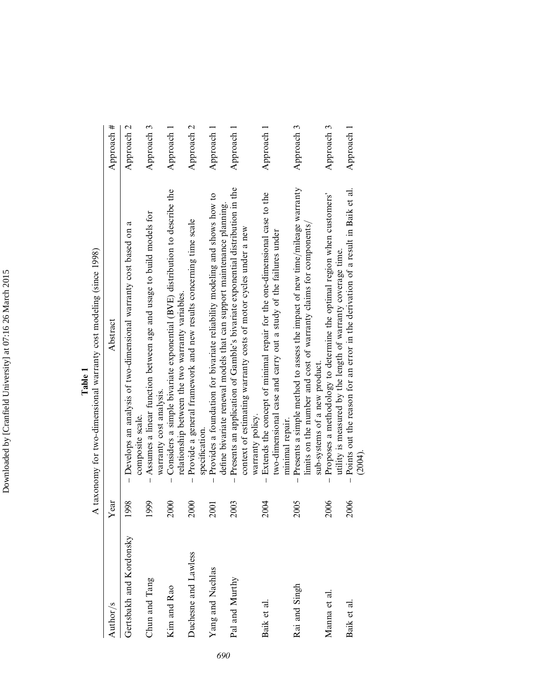| ı             |
|---------------|
|               |
| í             |
| ֚             |
| $\frac{1}{2}$ |
|               |
|               |
|               |
|               |
|               |
| ֚<br>i        |
| I             |
|               |
| l             |
| י             |
| l             |
| J<br>l        |
|               |
|               |
|               |
|               |
|               |
|               |
|               |
|               |
| l<br>I        |
|               |
| l             |
|               |
|               |
|               |
|               |
|               |
|               |
| ι             |
|               |

|  | A taxonomy for two-dimensional warranty cost modeling (since |
|--|--------------------------------------------------------------|
|  |                                                              |
|  |                                                              |
|  |                                                              |
|  |                                                              |
|  |                                                              |
|  |                                                              |
|  |                                                              |
|  |                                                              |
|  |                                                              |
|  |                                                              |
|  |                                                              |

|                         |      | A taxonomy for two-dimensional warranty cost modeling (since 1998)                                                                                                                                |            |
|-------------------------|------|---------------------------------------------------------------------------------------------------------------------------------------------------------------------------------------------------|------------|
| Author/s                | Year | Abstract                                                                                                                                                                                          | Approach # |
| Gertsbakh and Kordonsky | 1998 | Develops an analysis of two-dimensional warranty cost based on a<br>composite scale.                                                                                                              | Approach 2 |
| Chun and Tang           | 1999 | - Assumes a linear function between age and usage to build models for<br>warranty cost analysis.                                                                                                  | Approach 3 |
| Kim and Rao             | 2000 | Considers a simple bivariate exponential (BVE) distribution to describe the<br>relationship between the two warranty variables.<br>$\overline{1}$                                                 | Approach 1 |
| Duchesne and Lawless    | 2000 | Provide a general framework and new results concerning time scale<br>specification<br>$\overline{1}$                                                                                              | Approach 2 |
| Yang and Nachlas        | 2001 | Provides a foundation for bivariate reliability modeling and shows how to<br>define bivariate renewal models that can support maintenance planning.<br>$\overline{1}$                             | Approach 1 |
| Pal and Murthy          | 2003 | Presents an application of Gamble's bivariate exponential distribution in the<br>context of estimating warranty costs of motor cycles under a new<br>warranty policy<br>$\overline{1}$            | Approach 1 |
| Baik et al.             | 2004 | Extends the concept of minimal repair for the one-dimensional case to the<br>two-dimensional case and carry out a study of the failures under<br>minimal repair.<br>$\overline{\phantom{a}}$      | Approach 1 |
| Rai and Singh           | 2005 | Presents a simple method to assess the impact of new time/mileage warranty<br>limits on the number and cost of warranty claims for components/<br>sub-systems of a new product.<br>$\overline{1}$ | Approach 3 |
| Manna et al.            | 2006 | Proposes a methodology to determine the optimal region when customers'<br>utility is measured by the length of warranty coverage time.<br>$\overline{1}$                                          | Approach 3 |
| Baik et al.             | 2006 | Points out the reason for an error in the derivation of a result in Baik et al.<br>(2004)<br>$\overline{\phantom{a}}$                                                                             | Approach 1 |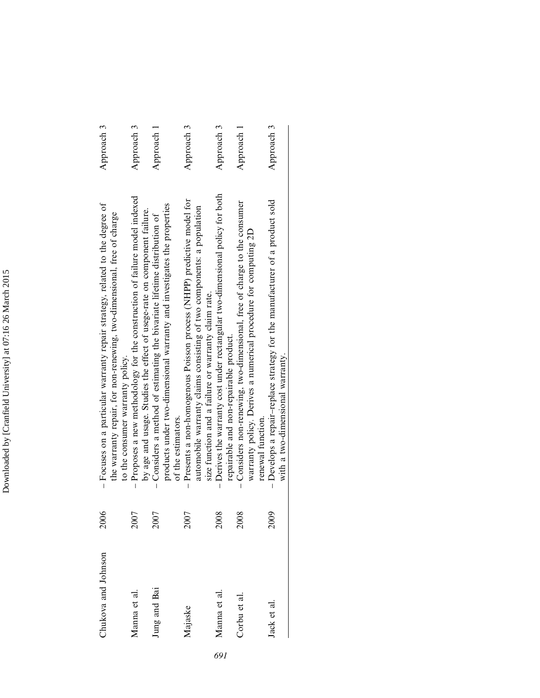| Chukova and Johnson | 2006 | - Focuses on a particular warranty repair strategy, related to the degree of<br>the warranty repair, for non-renewing, two-dimensional, free of charge                                                                           | Approach 3 |
|---------------------|------|----------------------------------------------------------------------------------------------------------------------------------------------------------------------------------------------------------------------------------|------------|
| Manna et al.        | 2007 | - Proposes a new methodology for the construction of failure model indexed<br>to the consumer warranty policy                                                                                                                    | Approach 3 |
| Jung and Bai        | 2007 | products under two-dimensional warranty and investigates the properties<br>by age and usage. Studies the effect of usege-rate on component failure.<br>- Considers a method of estimating the bivariate lifetime distribution of | Approach 1 |
| Majaske             | 2007 | - Presents a non-homogenous Poisson process (NHPP) predictive model for<br>automobile warranty claims consisting of two components: a population<br>of the estimators.                                                           | Approach 3 |
| Manna et al.        | 2008 | - Derives the warranty cost under rectangular two-dimensional policy for both<br>size function and a failure or warranty claim rate.<br>repairable and non-repairable product.                                                   | Approach 3 |
| Corbu et al.        | 2008 | - Considers non-renewing, two-dimensional, free of charge to the consumer<br>warranty policy. Derives a numerical procedure for computing 2D                                                                                     | Approach 1 |
| Jack et al.         | 2009 | - Develops a repair-replace strategy for the manufacturer of a product sold<br>with a two-dimensional warranty.<br>renewal function.                                                                                             | Approach 3 |

| ׇ֚      |
|---------|
|         |
|         |
|         |
|         |
|         |
|         |
|         |
|         |
|         |
|         |
|         |
| ı       |
| ł       |
|         |
| I       |
| I<br>١  |
|         |
|         |
|         |
|         |
|         |
|         |
|         |
|         |
|         |
|         |
|         |
|         |
| l       |
| l<br>֠  |
|         |
| Ï<br>ׇ֚ |
|         |
|         |
|         |
|         |
|         |
|         |
|         |
| ļ       |
|         |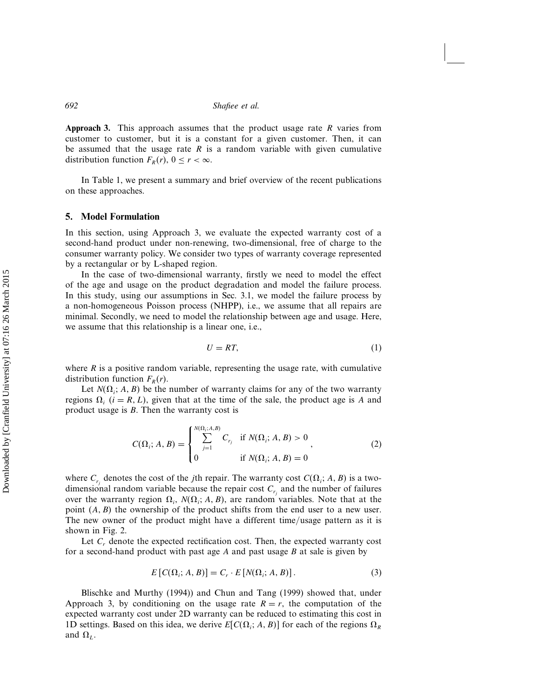**Approach 3.** This approach assumes that the product usage rate R varies from customer to customer, but it is a constant for a given customer. Then, it can be assumed that the usage rate  $R$  is a random variable with given cumulative distribution function  $F_R(r)$ ,  $0 \le r < \infty$ .

In Table 1, we present a summary and brief overview of the recent publications on these approaches.

#### **5. Model Formulation**

In this section, using Approach 3, we evaluate the expected warranty cost of a second-hand product under non-renewing, two-dimensional, free of charge to the consumer warranty policy. We consider two types of warranty coverage represented by a rectangular or by L-shaped region.

In the case of two-dimensional warranty, firstly we need to model the effect of the age and usage on the product degradation and model the failure process. In this study, using our assumptions in Sec. 3.1, we model the failure process by a non-homogeneous Poisson process (NHPP), i.e., we assume that all repairs are minimal. Secondly, we need to model the relationship between age and usage. Here, we assume that this relationship is a linear one, i.e.,

$$
U = RT,\tag{1}
$$

where  $R$  is a positive random variable, representing the usage rate, with cumulative distribution function  $F_R(r)$ .

Let  $N(\Omega_i; A, B)$  be the number of warranty claims for any of the two warranty regions  $\Omega_i$  ( $i = R, L$ ), given that at the time of the sale, the product age is A and product usage is B. Then the warranty cost is

$$
C(\Omega_i; A, B) = \begin{cases} \sum_{j=1}^{N(\Omega_i; A, B)} C_{r_j} & \text{if } N(\Omega_i; A, B) > 0 \\ 0 & \text{if } N(\Omega_i; A, B) = 0 \end{cases}
$$
 (2)

where  $C_{r_j}$  denotes the cost of the *j*th repair. The warranty cost  $C(\Omega_i; A, B)$  is a twodimensional random variable because the repair cost  $C_{r_i}$  and the number of failures over the warranty region  $\Omega_i$ ,  $N(\Omega_i; A, B)$ , are random variables. Note that at the point  $(A, B)$  the ownership of the product shifts from the end user to a new user. The new owner of the product might have a different time/usage pattern as it is shown in Fig. 2.

Let  $C<sub>r</sub>$  denote the expected rectification cost. Then, the expected warranty cost for a second-hand product with past age A and past usage B at sale is given by

$$
E\left[C(\Omega_i; A, B)\right] = C_r \cdot E\left[N(\Omega_i; A, B)\right].\tag{3}
$$

Blischke and Murthy (1994)) and Chun and Tang (1999) showed that, under Approach 3, by conditioning on the usage rate  $R = r$ , the computation of the expected warranty cost under 2D warranty can be reduced to estimating this cost in 1D settings. Based on this idea, we derive  $E[C(\Omega_i; A, B)]$  for each of the regions  $\Omega_R$ and  $\Omega_L$ .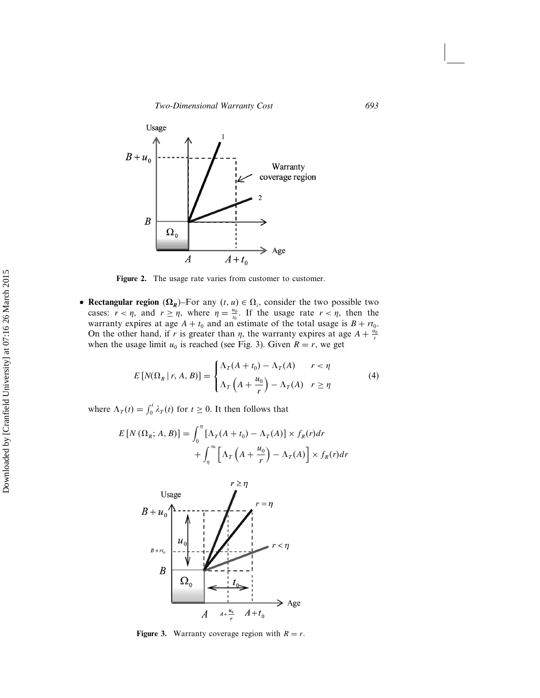

Figure 2. The usage rate varies from customer to customer.

• **Rectangular region**  $(\Omega_R)$ –For any  $(t, u) \in \Omega_i$ , consider the two possible two cases:  $r < \eta$ , and  $r \ge \eta$ , where  $\eta = \frac{u_0}{t_0}$ . If the usage rate  $r < \eta$ , then the warranty expires at age  $A + t_0$  and an estimate of the total usage is  $B + rt_0$ . On the other hand, if r is greater than  $\eta$ , the warranty expires at age  $A + \frac{u_0}{r}$ when the usage limit  $u_0$  is reached (see Fig. 3). Given  $R = r$ , we get

$$
E[N(\Omega_R \mid r, A, B)] = \begin{cases} \Lambda_T(A + t_0) - \Lambda_T(A) & r < \eta \\ \Lambda_T(A + \frac{u_0}{r}) - \Lambda_T(A) & r \ge \eta \end{cases}
$$
(4)

where  $\Lambda_T(t) = \int_0^t \lambda_T(t)$  for  $t \ge 0$ . It then follows that

$$
E[N(\Omega_R; A, B)] = \int_0^{\eta} [\Lambda_T(A + t_0) - \Lambda_T(A)] \times f_R(r) dr
$$

$$
+ \int_{\eta}^{\infty} \left[ \Lambda_T(A + \frac{u_0}{r}) - \Lambda_T(A) \right] \times f_R(r) dr
$$



**Figure 3.** Warranty coverage region with  $R = r$ .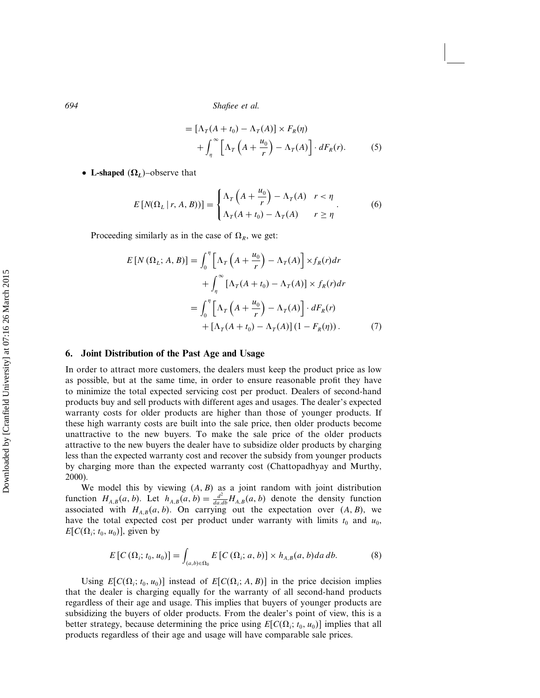*694 Shafiee et al.*

$$
= [\Lambda_T(A+t_0) - \Lambda_T(A)] \times F_R(\eta)
$$
  
+ 
$$
\int_{\eta}^{\infty} \left[ \Lambda_T\left(A + \frac{u_0}{r}\right) - \Lambda_T(A) \right] \cdot dF_R(r).
$$
 (5)

• L-shaped  $(\Omega_L)$ -observe that

$$
E[N(\Omega_L \mid r, A, B))] = \begin{cases} \Lambda_T \left( A + \frac{u_0}{r} \right) - \Lambda_T(A) & r < \eta \\ \Lambda_T (A + t_0) - \Lambda_T(A) & r \ge \eta \end{cases}.
$$
 (6)

Proceeding similarly as in the case of  $\Omega_R$ , we get:

$$
E[N(\Omega_L; A, B)] = \int_0^{\eta} \left[ \Lambda_T \left( A + \frac{u_0}{r} \right) - \Lambda_T(A) \right] \times f_R(r) dr
$$
  
+ 
$$
\int_{\eta}^{\infty} \left[ \Lambda_T (A + t_0) - \Lambda_T(A) \right] \times f_R(r) dr
$$
  
= 
$$
\int_0^{\eta} \left[ \Lambda_T \left( A + \frac{u_0}{r} \right) - \Lambda_T(A) \right] \cdot dF_R(r)
$$
  
+ 
$$
\left[ \Lambda_T (A + t_0) - \Lambda_T(A) \right] (1 - F_R(\eta)).
$$
 (7)

#### **6. Joint Distribution of the Past Age and Usage**

In order to attract more customers, the dealers must keep the product price as low as possible, but at the same time, in order to ensure reasonable profit they have to minimize the total expected servicing cost per product. Dealers of second-hand products buy and sell products with different ages and usages. The dealer's expected warranty costs for older products are higher than those of younger products. If these high warranty costs are built into the sale price, then older products become unattractive to the new buyers. To make the sale price of the older products attractive to the new buyers the dealer have to subsidize older products by charging less than the expected warranty cost and recover the subsidy from younger products by charging more than the expected warranty cost (Chattopadhyay and Murthy, 2000).

We model this by viewing  $(A, B)$  as a joint random with joint distribution function  $H_{A,B}(a, b)$ . Let  $h_{A,B}(a, b) = \frac{d^2}{da \cdot db} H_{A,B}(a, b)$  denote the density function associated with  $H_{A,B}(a, b)$ . On carrying out the expectation over  $(A, B)$ , we have the total expected cost per product under warranty with limits  $t_0$  and  $u_0$ ,  $E[C(\Omega_i; t_0, u_0)]$ , given by

$$
E\left[C\left(\Omega_i; t_0, u_0\right)\right] = \int_{(a,b)\in\Omega_0} E\left[C\left(\Omega_i; a, b\right)\right] \times h_{A,B}(a, b) da db. \tag{8}
$$

Using  $E[C(\Omega_i; t_0, u_0)]$  instead of  $E[C(\Omega_i; A, B)]$  in the price decision implies that the dealer is charging equally for the warranty of all second-hand products regardless of their age and usage. This implies that buyers of younger products are subsidizing the buyers of older products. From the dealer's point of view, this is a better strategy, because determining the price using  $E[C(\Omega_i; t_0, u_0)]$  implies that all products regardless of their age and usage will have comparable sale prices.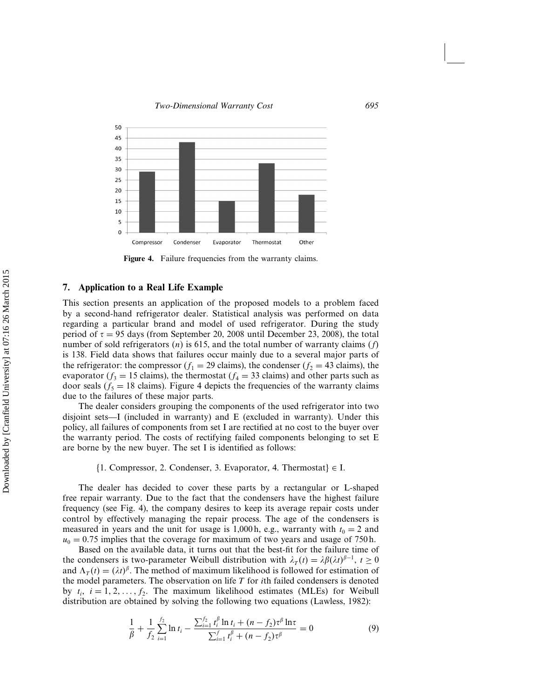

Figure 4. Failure frequencies from the warranty claims.

#### **7. Application to a Real Life Example**

This section presents an application of the proposed models to a problem faced by a second-hand refrigerator dealer. Statistical analysis was performed on data regarding a particular brand and model of used refrigerator. During the study period of  $\tau = 95$  days (from September 20, 2008 until December 23, 2008), the total number of sold refrigerators (*n*) is 615, and the total number of warranty claims  $(f)$ is 138. Field data shows that failures occur mainly due to a several major parts of the refrigerator: the compressor  $(f_1 = 29 \text{ claims})$ , the condenser  $(f_2 = 43 \text{ claims})$ , the evaporator ( $f_3 = 15$  claims), the thermostat ( $f_4 = 33$  claims) and other parts such as door seals ( $f_5 = 18$  claims). Figure 4 depicts the frequencies of the warranty claims due to the failures of these major parts.

The dealer considers grouping the components of the used refrigerator into two disjoint sets—I (included in warranty) and E (excluded in warranty). Under this policy, all failures of components from set I are rectified at no cost to the buyer over the warranty period. The costs of rectifying failed components belonging to set E are borne by the new buyer. The set I is identified as follows:

 ${1.}$  Compressor, 2. Condenser, 3. Evaporator, 4. Thermostat $} \in I$ .

The dealer has decided to cover these parts by a rectangular or L-shaped free repair warranty. Due to the fact that the condensers have the highest failure frequency (see Fig. 4), the company desires to keep its average repair costs under control by effectively managing the repair process. The age of the condensers is measured in years and the unit for usage is 1,000 h, e.g., warranty with  $t_0 = 2$  and  $u_0 = 0.75$  implies that the coverage for maximum of two years and usage of 750 h.

Based on the available data, it turns out that the best-fit for the failure time of the condensers is two-parameter Weibull distribution with  $\lambda_T(t) = \lambda \beta(\lambda t)^{\beta-1}$ ,  $t \ge 0$ and  $\Lambda_T(t) = (\lambda t)^{\beta}$ . The method of maximum likelihood is followed for estimation of the model parameters. The observation on life  $T$  for *i*th failed condensers is denoted by  $t_i$ ,  $i = 1, 2, ..., f_2$ . The maximum likelihood estimates (MLEs) for Weibull distribution are obtained by solving the following two equations (Lawless, 1982):

$$
\frac{1}{\beta} + \frac{1}{f_2} \sum_{i=1}^{f_2} \ln t_i - \frac{\sum_{i=1}^{f_2} t_i^{\beta} \ln t_i + (n - f_2) \tau^{\beta} \ln \tau}{\sum_{i=1}^{f} t_i^{\beta} + (n - f_2) \tau^{\beta}} = 0
$$
\n(9)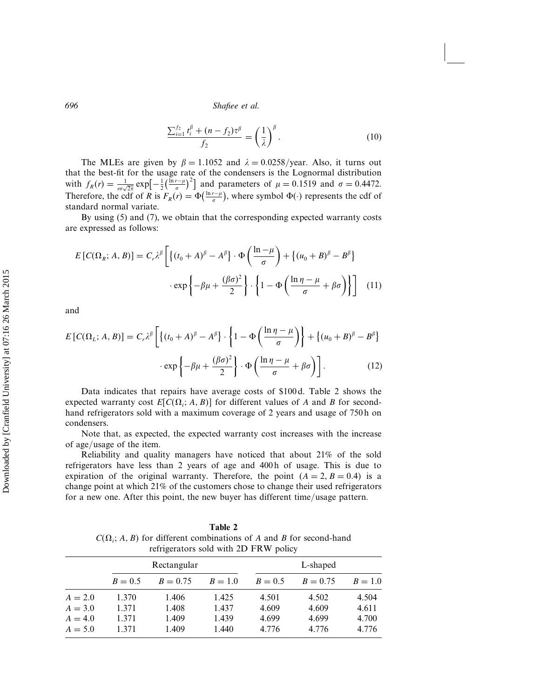*696 Shafiee et al.*

$$
\frac{\sum_{i=1}^{f_2} t_i^{\beta} + (n - f_2) \tau^{\beta}}{f_2} = \left(\frac{1}{\lambda}\right)^{\beta}.
$$
 (10)

The MLEs are given by  $\beta = 1.1052$  and  $\lambda = 0.0258$ /year. Also, it turns out that the best-fit for the usage rate of the condensers is the Lognormal distribution with  $f_R(r) = \frac{1}{r\sigma\sqrt{2\pi}} \exp\left[-\frac{1}{2}\left(\frac{\ln r - \mu}{\sigma}\right)^2\right]$  and parameters of  $\mu = 0.1519$  and  $\sigma = 0.4472$ . Therefore, the cdf of R is  $F_R(r) = \Phi\left(\frac{\ln r - \mu}{\sigma}\right)$ , where symbol  $\Phi(\cdot)$  represents the cdf of standard normal variate.

By using (5) and (7), we obtain that the corresponding expected warranty costs are expressed as follows:

$$
E[C(\Omega_R; A, B)] = C_r \lambda^{\beta} \left[ \left\{ (t_0 + A)^{\beta} - A^{\beta} \right\} \cdot \Phi\left(\frac{\ln - \mu}{\sigma}\right) + \left\{ (u_0 + B)^{\beta} - B^{\beta} \right\} \cdot \exp\left\{ -\beta \mu + \frac{(\beta \sigma)^2}{2} \right\} \cdot \left\{ 1 - \Phi\left(\frac{\ln \eta - \mu}{\sigma} + \beta \sigma\right) \right\} \right] \tag{11}
$$

and

$$
E\left[C(\Omega_L; A, B)\right] = C_r \lambda^{\beta} \left[ \left\{ (t_0 + A)^{\beta} - A^{\beta} \right\} \cdot \left\{ 1 - \Phi\left(\frac{\ln \eta - \mu}{\sigma}\right) \right\} + \left\{ (u_0 + B)^{\beta} - B^{\beta} \right\} \cdot \exp\left\{ -\beta \mu + \frac{(\beta \sigma)^2}{2} \right\} \cdot \Phi\left(\frac{\ln \eta - \mu}{\sigma} + \beta \sigma\right) \right].
$$
 (12)

Data indicates that repairs have average costs of \$100 d. Table 2 shows the expected warranty cost  $E[C(\Omega_i; A, B)]$  for different values of A and B for secondhand refrigerators sold with a maximum coverage of 2 years and usage of 750 h on condensers.

Note that, as expected, the expected warranty cost increases with the increase of age/usage of the item.

Reliability and quality managers have noticed that about 21% of the sold refrigerators have less than 2 years of age and 400 h of usage. This is due to expiration of the original warranty. Therefore, the point  $(A = 2, B = 0.4)$  is a change point at which 21% of the customers chose to change their used refrigerators for a new one. After this point, the new buyer has different time/usage pattern.

**Table 2**  $C(\Omega_i; A, B)$  for different combinations of A and B for second-hand refrigerators sold with 2D FRW policy

|           |           | Rectangular |           |           | L-shaped   |           |
|-----------|-----------|-------------|-----------|-----------|------------|-----------|
|           | $B = 0.5$ | $B = 0.75$  | $B = 1.0$ | $B = 0.5$ | $B = 0.75$ | $B = 1.0$ |
| $A = 2.0$ | 1.370     | 1.406       | 1.425     | 4.501     | 4.502      | 4.504     |
| $A = 3.0$ | 1.371     | 1.408       | 1.437     | 4.609     | 4.609      | 4.611     |
| $A = 4.0$ | 1.371     | 1.409       | 1.439     | 4.699     | 4.699      | 4.700     |
| $A = 5.0$ | 1.371     | 1.409       | 1.440     | 4.776     | 4.776      | 4.776     |
|           |           |             |           |           |            |           |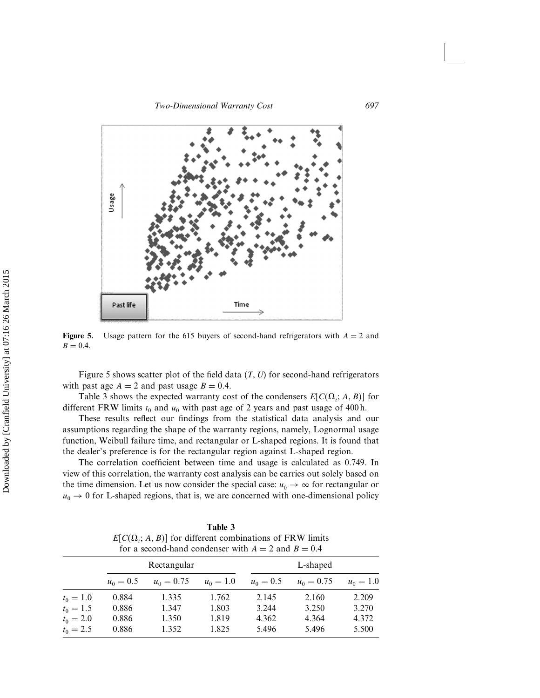

**Figure 5.** Usage pattern for the 615 buyers of second-hand refrigerators with  $A = 2$  and  $B = 0.4$ .

Figure 5 shows scatter plot of the field data  $(T, U)$  for second-hand refrigerators with past age  $A = 2$  and past usage  $B = 0.4$ .

Table 3 shows the expected warranty cost of the condensers  $E[C(\Omega_i; A, B)]$  for different FRW limits  $t_0$  and  $u_0$  with past age of 2 years and past usage of 400 h.

These results reflect our findings from the statistical data analysis and our assumptions regarding the shape of the warranty regions, namely, Lognormal usage function, Weibull failure time, and rectangular or L-shaped regions. It is found that the dealer's preference is for the rectangular region against L-shaped region.

The correlation coefficient between time and usage is calculated as 0.749. In view of this correlation, the warranty cost analysis can be carries out solely based on the time dimension. Let us now consider the special case:  $u_0 \to \infty$  for rectangular or  $u_0 \rightarrow 0$  for L-shaped regions, that is, we are concerned with one-dimensional policy

**Table 3**  $E[C(\Omega_i; A, B)]$  for different combinations of FRW limits for a second-hand condenser with  $A = 2$  and  $B = 0.4$ 

|                            |                | Rectangular    |                |                | L-shaped       |                |
|----------------------------|----------------|----------------|----------------|----------------|----------------|----------------|
|                            | $u_0 = 0.5$    | $u_0 = 0.75$   | $u_0 = 1.0$    | $u_0 = 0.5$    | $u_0 = 0.75$   | $u_0 = 1.0$    |
| $t_0 = 1.0$                | 0.884          | 1.335          | 1.762          | 2.145          | 2.160          | 2.209          |
| $t_0 = 1.5$<br>$t_0 = 2.0$ | 0.886<br>0.886 | 1.347<br>1.350 | 1.803<br>1.819 | 3.244<br>4.362 | 3.250<br>4.364 | 3.270<br>4.372 |
| $t_0 = 2.5$                | 0.886          | 1.352          | 1.825          | 5.496          | 5.496          | 5.500          |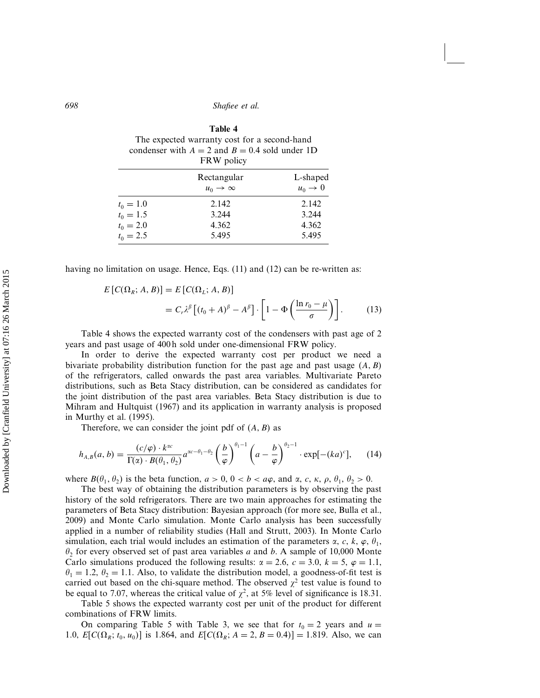|                                                          | The expected warranty cost for a second-hand<br>condenser with $A = 2$ and $B = 0.4$ sold under 1D<br>FRW policy |                                  |
|----------------------------------------------------------|------------------------------------------------------------------------------------------------------------------|----------------------------------|
|                                                          | Rectangular<br>$u_0 \rightarrow \infty$                                                                          | L-shaped<br>$u_0 \rightarrow 0$  |
| $t_0 = 1.0$<br>$t_0 = 1.5$<br>$t_0 = 2.0$<br>$t_0 = 2.5$ | 2.142<br>3.244<br>4.362<br>5.495                                                                                 | 2.142<br>3.244<br>4.362<br>5.495 |

| Table 4                                            |  |  |  |  |
|----------------------------------------------------|--|--|--|--|
| The expected warranty cost for a second-hand       |  |  |  |  |
| condenser with $A = 2$ and $B = 0.4$ sold under 1D |  |  |  |  |
| FRW policy                                         |  |  |  |  |

having no limitation on usage. Hence, Eqs. (11) and (12) can be re-written as:

$$
[C(\Omega_R; A, B)] = E [C(\Omega_L; A, B)]
$$
  
=  $C_r \lambda^{\beta} [(t_0 + A)^{\beta} - A^{\beta}] \cdot [1 - \Phi(\frac{\ln r_0 - \mu}{\sigma})].$  (13)

Table 4 shows the expected warranty cost of the condensers with past age of 2 years and past usage of 400 h sold under one-dimensional FRW policy.

In order to derive the expected warranty cost per product we need a bivariate probability distribution function for the past age and past usage  $(A, B)$ of the refrigerators, called onwards the past area variables. Multivariate Pareto distributions, such as Beta Stacy distribution, can be considered as candidates for the joint distribution of the past area variables. Beta Stacy distribution is due to Mihram and Hultquist (1967) and its application in warranty analysis is proposed in Murthy et al. (1995).

Therefore, we can consider the joint pdf of  $(A, B)$  as

$$
h_{A,B}(a,b) = \frac{(c/\varphi) \cdot k^{\alpha c}}{\Gamma(\alpha) \cdot B(\theta_1, \theta_2)} a^{\alpha c - \theta_1 - \theta_2} \left(\frac{b}{\varphi}\right)^{\theta_1 - 1} \left(a - \frac{b}{\varphi}\right)^{\theta_2 - 1} \cdot \exp[-(ka)^c],\qquad(14)
$$

where  $B(\theta_1, \theta_2)$  is the beta function,  $a > 0$ ,  $0 < b < a\varphi$ , and  $\alpha$ ,  $c$ ,  $\kappa$ ,  $\rho$ ,  $\theta_1$ ,  $\theta_2 > 0$ .

The best way of obtaining the distribution parameters is by observing the past history of the sold refrigerators. There are two main approaches for estimating the parameters of Beta Stacy distribution: Bayesian approach (for more see, Bulla et al., 2009) and Monte Carlo simulation. Monte Carlo analysis has been successfully applied in a number of reliability studies (Hall and Strutt, 2003). In Monte Carlo simulation, each trial would includes an estimation of the parameters  $\alpha$ , c, k,  $\varphi$ ,  $\theta_1$ ,  $\theta_2$  for every observed set of past area variables a and b. A sample of 10,000 Monte Carlo simulations produced the following results:  $\alpha = 2.6$ ,  $c = 3.0$ ,  $k = 5$ ,  $\varphi = 1.1$ ,  $\theta_1 = 1.2$ ,  $\theta_2 = 1.1$ . Also, to validate the distribution model, a goodness-of-fit test is carried out based on the chi-square method. The observed  $\chi^2$  test value is found to be equal to 7.07, whereas the critical value of  $\chi^2$ , at 5% level of significance is 18.31.

Table 5 shows the expected warranty cost per unit of the product for different combinations of FRW limits.

On comparing Table 5 with Table 3, we see that for  $t_0 = 2$  years and  $u =$ 1.0,  $E[C(\Omega_R; t_0, u_0)]$  is 1.864, and  $E[C(\Omega_R; A = 2, B = 0.4)] = 1.819$ . Also, we can

 $E$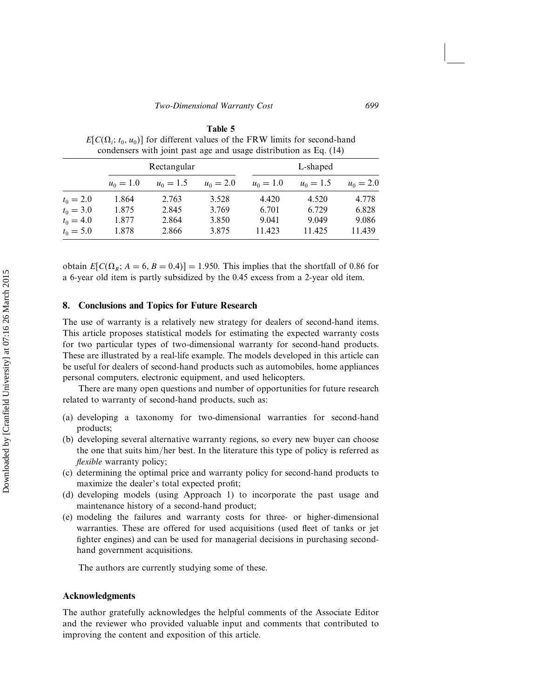|             |             | Rectangular |             |             | L-shaped    |             |
|-------------|-------------|-------------|-------------|-------------|-------------|-------------|
|             | $u_0 = 1.0$ | $u_0 = 1.5$ | $u_0 = 2.0$ | $u_0 = 1.0$ | $u_0 = 1.5$ | $u_0 = 2.0$ |
| $t_0 = 2.0$ | 1.864       | 2.763       | 3.528       | 4.420       | 4.520       | 4.778       |
| $t_0 = 3.0$ | 1.875       | 2.845       | 3.769       | 6.701       | 6.729       | 6.828       |
| $t_0 = 4.0$ | 1.877       | 2.864       | 3.850       | 9.041       | 9.049       | 9.086       |
| $t_0 = 5.0$ | 1.878       | 2.866       | 3.875       | 11.423      | 11.425      | 11.439      |

**Table 5**  $E[C(\Omega_i; t_0, u_0)]$  for different values of the FRW limits for second-hand condensers with joint past age and usage distribution as Eq. (14)

obtain  $E[C(\Omega_R; A = 6, B = 0.4)] = 1.950$ . This implies that the shortfall of 0.86 for a 6-year old item is partly subsidized by the 0.45 excess from a 2-year old item.

#### **8. Conclusions and Topics for Future Research**

The use of warranty is a relatively new strategy for dealers of second-hand items. This article proposes statistical models for estimating the expected warranty costs for two particular types of two-dimensional warranty for second-hand products. These are illustrated by a real-life example. The models developed in this article can be useful for dealers of second-hand products such as automobiles, home appliances personal computers, electronic equipment, and used helicopters.

There are many open questions and number of opportunities for future research related to warranty of second-hand products, such as:

- (a) developing a taxonomy for two-dimensional warranties for second-hand products;
- (b) developing several alternative warranty regions, so every new buyer can choose the one that suits him/her best. In the literature this type of policy is referred as *flexible* warranty policy;
- (c) determining the optimal price and warranty policy for second-hand products to maximize the dealer's total expected profit;
- (d) developing models (using Approach 1) to incorporate the past usage and maintenance history of a second-hand product;
- (e) modeling the failures and warranty costs for three- or higher-dimensional warranties. These are offered for used acquisitions (used fleet of tanks or jet fighter engines) and can be used for managerial decisions in purchasing secondhand government acquisitions.

The authors are currently studying some of these.

#### **Acknowledgments**

The author gratefully acknowledges the helpful comments of the Associate Editor and the reviewer who provided valuable input and comments that contributed to improving the content and exposition of this article.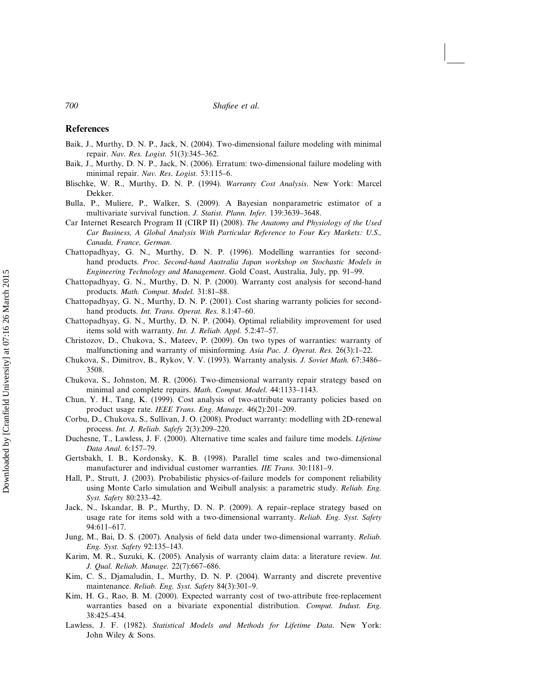#### **References**

- Baik, J., Murthy, D. N. P., Jack, N. (2004). Two-dimensional failure modeling with minimal repair. *Nav. Res. Logist.* 51(3):345–362.
- Baik, J., Murthy, D. N. P., Jack, N. (2006). Erratum: two-dimensional failure modeling with minimal repair. *Nav. Res. Logist.* 53:115–6.
- Blischke, W. R., Murthy, D. N. P. (1994). *Warranty Cost Analysis*. New York: Marcel Dekker.
- Bulla, P., Muliere, P., Walker, S. (2009). A Bayesian nonparametric estimator of a multivariate survival function. *J. Statist. Plann. Infer.* 139:3639–3648.
- Car Internet Research Program II (CIRP II) (2008). *The Anatomy and Physiology of the Used Car Business, A Global Analysis With Particular Reference to Four Key Markets: U.S., Canada, France, German*.
- Chattopadhyay, G. N., Murthy, D. N. P. (1996). Modelling warranties for secondhand products. *Proc. Second-hand Australia Japan workshop on Stochastic Models in Engineering Technology and Management*. Gold Coast, Australia, July, pp. 91–99.
- Chattopadhyay, G. N., Murthy, D. N. P. (2000). Warranty cost analysis for second-hand products. *Math. Comput. Model.* 31:81–88.
- Chattopadhyay, G. N., Murthy, D. N. P. (2001). Cost sharing warranty policies for secondhand products. *Int. Trans. Operat. Res.* 8.1:47–60.
- Chattopadhyay, G. N., Murthy, D. N. P. (2004). Optimal reliability improvement for used items sold with warranty. *Int. J. Reliab. Appl.* 5.2:47–57.
- Christozov, D., Chukova, S., Mateev, P. (2009). On two types of warranties: warranty of malfunctioning and warranty of misinforming. *Asia Pac. J. Operat. Res.* 26(3):1–22.
- Chukova, S., Dimitrov, B., Rykov, V. V. (1993). Warranty analysis. *J. Soviet Math.* 67:3486– 3508.
- Chukova, S., Johnston, M. R. (2006). Two-dimensional warranty repair strategy based on minimal and complete repairs. *Math. Comput. Model.* 44:1133–1143.
- Chun, Y. H., Tang, K. (1999). Cost analysis of two-attribute warranty policies based on product usage rate. *IEEE Trans. Eng. Manage.* 46(2):201–209.
- Corbu, D., Chukova, S., Sullivan, J. O. (2008). Product warranty: modelling with 2D-renewal process. *Int. J. Reliab. Safefy* 2(3):209–220.
- Duchesne, T., Lawless, J. F. (2000). Alternative time scales and failure time models. *Lifetime Data Anal.* 6:157–79.
- Gertsbakh, I. B., Kordonsky, K. B. (1998). Parallel time scales and two-dimensional manufacturer and individual customer warranties. *IIE Trans.* 30:1181–9.
- Hall, P., Strutt, J. (2003). Probabilistic physics-of-failure models for component reliability using Monte Carlo simulation and Weibull analysis: a parametric study. *Reliab. Eng. Syst. Safety* 80:233–42.
- Jack, N., Iskandar, B. P., Murthy, D. N. P. (2009). A repair–replace strategy based on usage rate for items sold with a two-dimensional warranty. *Reliab. Eng. Syst. Safety* 94:611–617.
- Jung, M., Bai, D. S. (2007). Analysis of field data under two-dimensional warranty. *Reliab. Eng. Syst. Safety* 92:135–143.
- Karim, M. R., Suzuki, K. (2005). Analysis of warranty claim data: a literature review. *Int. J. Qual. Reliab. Manage.* 22(7):667–686.
- Kim, C. S., Djamaludin, I., Murthy, D. N. P. (2004). Warranty and discrete preventive maintenance. *Reliab. Eng. Syst. Safety* 84(3):301–9.
- Kim, H. G., Rao, B. M. (2000). Expected warranty cost of two-attribute free-replacement warranties based on a bivariate exponential distribution. *Comput. Indust. Eng.* 38:425–434.
- Lawless, J. F. (1982). *Statistical Models and Methods for Lifetime Data*. New York: John Wiley & Sons.